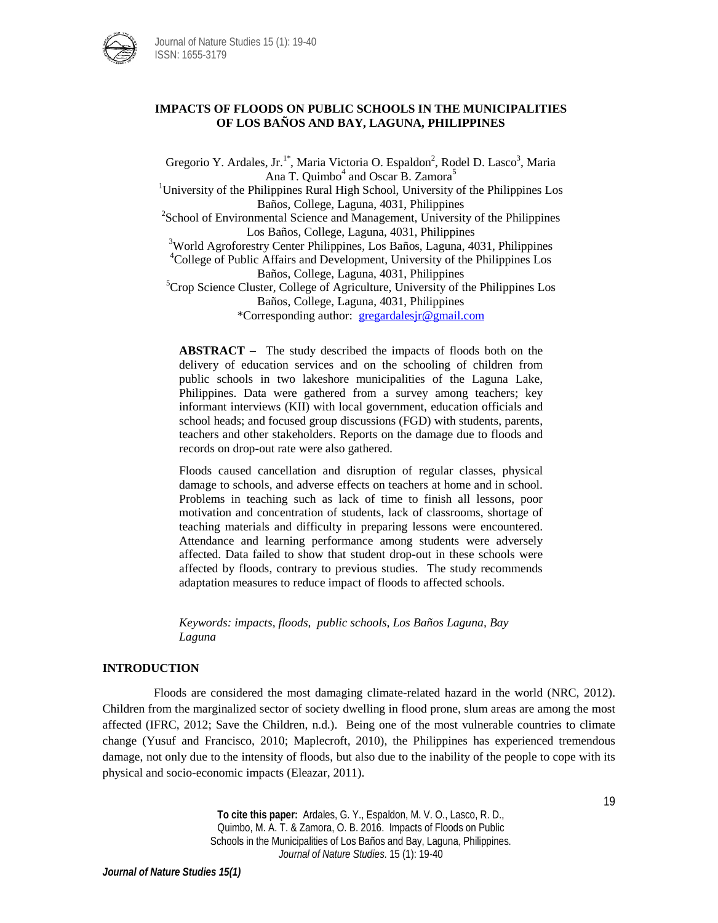

# **IMPACTS OF FLOODS ON PUBLIC SCHOOLS IN THE MUNICIPALITIES OF LOS BAÑOS AND BAY, LAGUNA, PHILIPPINES**

Gregorio Y. Ardales, Jr.<sup>1\*</sup>, Maria Victoria O. Espaldon<sup>2</sup>, Rodel D. Lasco<sup>3</sup>, Maria Ana T. Quimbo $<sup>4</sup>$  and Oscar B. Zamora<sup>5</sup></sup>

<sup>1</sup>University of the Philippines Rural High School, University of the Philippines Los Baños, College, Laguna, 4031, Philippines <sup>2</sup>

<sup>2</sup>School of Environmental Science and Management, University of the Philippines Los Baños, College, Laguna, 4031, Philippines

<sup>3</sup>World Agroforestry Center Philippines, Los Baños, Laguna, 4031, Philippines

<sup>4</sup>College of Public Affairs and Development, University of the Philippines Los Baños, College, Laguna, 4031, Philippines <sup>5</sup>

 ${}^{5}$ Crop Science Cluster, College of Agriculture, University of the Philippines Los Baños, College, Laguna, 4031, Philippines \*Corresponding author: [gregardalesjr@gmail.com](mailto:gregardalesjr@gmail.com)

**ABSTRACT –** The study described the impacts of floods both on the delivery of education services and on the schooling of children from public schools in two lakeshore municipalities of the Laguna Lake, Philippines. Data were gathered from a survey among teachers; key informant interviews (KII) with local government, education officials and school heads; and focused group discussions (FGD) with students, parents, teachers and other stakeholders. Reports on the damage due to floods and records on drop-out rate were also gathered.

Floods caused cancellation and disruption of regular classes, physical damage to schools, and adverse effects on teachers at home and in school. Problems in teaching such as lack of time to finish all lessons, poor motivation and concentration of students, lack of classrooms, shortage of teaching materials and difficulty in preparing lessons were encountered. Attendance and learning performance among students were adversely affected. Data failed to show that student drop-out in these schools were affected by floods, contrary to previous studies. The study recommends adaptation measures to reduce impact of floods to affected schools.

*Keywords: impacts, floods, public schools, Los Baños Laguna, Bay Laguna*

### **INTRODUCTION**

Floods are considered the most damaging climate-related hazard in the world (NRC, 2012). Children from the marginalized sector of society dwelling in flood prone, slum areas are among the most affected (IFRC, 2012; Save the Children, n.d.). Being one of the most vulnerable countries to climate change (Yusuf and Francisco, 2010; Maplecroft, 2010), the Philippines has experienced tremendous damage, not only due to the intensity of floods, but also due to the inability of the people to cope with its physical and socio-economic impacts (Eleazar, 2011).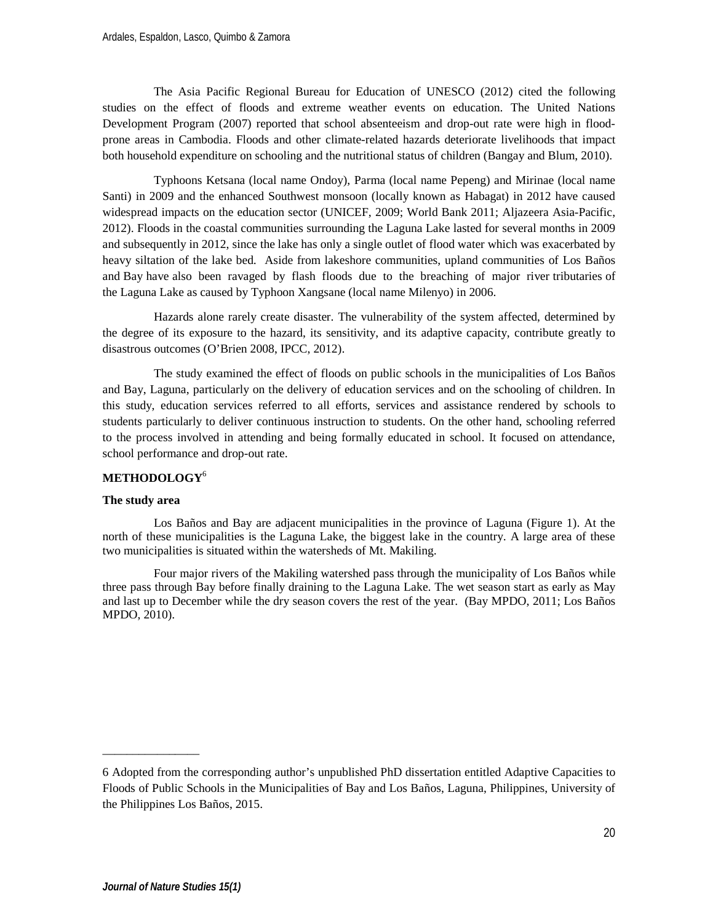The Asia Pacific Regional Bureau for Education of UNESCO (2012) cited the following studies on the effect of floods and extreme weather events on education. The United Nations Development Program (2007) reported that school absenteeism and drop-out rate were high in floodprone areas in Cambodia. Floods and other climate-related hazards deteriorate livelihoods that impact both household expenditure on schooling and the nutritional status of children (Bangay and Blum, 2010).

Typhoons Ketsana (local name Ondoy), Parma (local name Pepeng) and Mirinae (local name Santi) in 2009 and the enhanced Southwest monsoon (locally known as Habagat) in 2012 have caused widespread impacts on the education sector (UNICEF, 2009; World Bank 2011; Aljazeera Asia-Pacific, 2012). Floods in the coastal communities surrounding the Laguna Lake lasted for several months in 2009 and subsequently in 2012, since the lake has only a single outlet of flood water which was exacerbated by heavy siltation of the lake bed. Aside from lakeshore communities, upland communities of Los Baños and Bay have also been ravaged by flash floods due to the breaching of major river tributaries of the Laguna Lake as caused by Typhoon Xangsane (local name Milenyo) in 2006.

Hazards alone rarely create disaster. The vulnerability of the system affected, determined by the degree of its exposure to the hazard, its sensitivity, and its adaptive capacity, contribute greatly to disastrous outcomes (O'Brien 2008, IPCC, 2012).

The study examined the effect of floods on public schools in the municipalities of Los Baños and Bay, Laguna, particularly on the delivery of education services and on the schooling of children. In this study, education services referred to all efforts, services and assistance rendered by schools to students particularly to deliver continuous instruction to students. On the other hand, schooling referred to the process involved in attending and being formally educated in school. It focused on attendance, school performance and drop-out rate.

# **METHODOLOGY**<sup>6</sup>

### **The study area**

Los Baños and Bay are adjacent municipalities in the province of Laguna (Figure 1). At the north of these municipalities is the Laguna Lake, the biggest lake in the country. A large area of these two municipalities is situated within the watersheds of Mt. Makiling.

Four major rivers of the Makiling watershed pass through the municipality of Los Baños while three pass through Bay before finally draining to the Laguna Lake. The wet season start as early as May and last up to December while the dry season covers the rest of the year. (Bay MPDO, 2011; Los Baños MPDO, 2010).

\_\_\_\_\_\_\_\_\_\_\_\_\_\_\_\_

<sup>6</sup> Adopted from the corresponding author's unpublished PhD dissertation entitled Adaptive Capacities to Floods of Public Schools in the Municipalities of Bay and Los Baños, Laguna, Philippines, University of the Philippines Los Baños, 2015.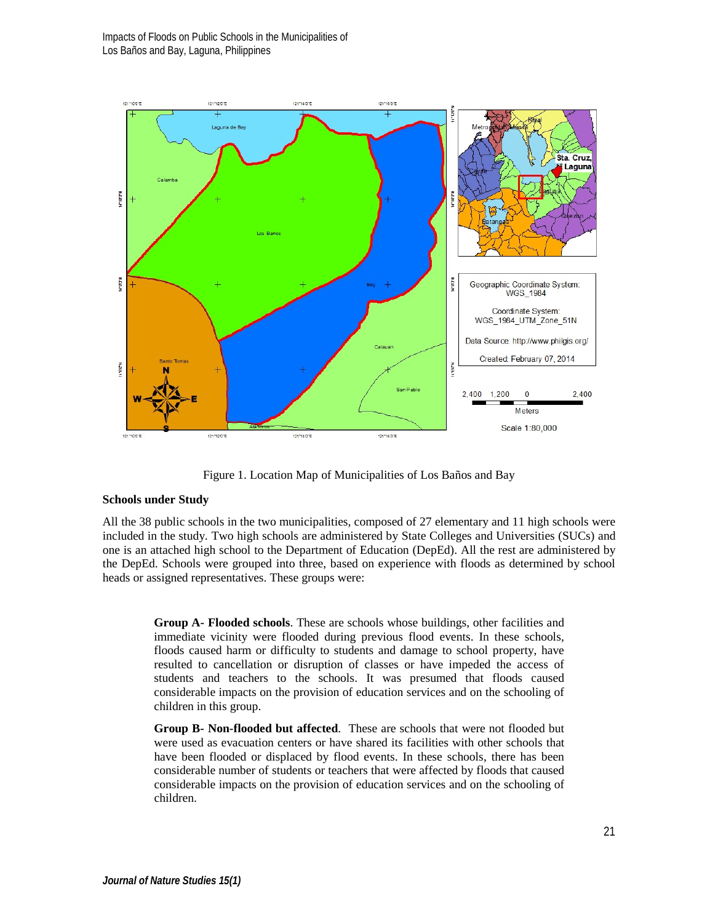Impacts of Floods on Public Schools in the Municipalities of Los Baños and Bay, Laguna, Philippines



Figure 1. Location Map of Municipalities of Los Baños and Bay

### **Schools under Study**

All the 38 public schools in the two municipalities, composed of 27 elementary and 11 high schools were included in the study. Two high schools are administered by State Colleges and Universities (SUCs) and one is an attached high school to the Department of Education (DepEd). All the rest are administered by the DepEd. Schools were grouped into three, based on experience with floods as determined by school heads or assigned representatives. These groups were:

**Group A- Flooded schools**. These are schools whose buildings, other facilities and immediate vicinity were flooded during previous flood events. In these schools, floods caused harm or difficulty to students and damage to school property, have resulted to cancellation or disruption of classes or have impeded the access of students and teachers to the schools. It was presumed that floods caused considerable impacts on the provision of education services and on the schooling of children in this group.

**Group B- Non-flooded but affected**. These are schools that were not flooded but were used as evacuation centers or have shared its facilities with other schools that have been flooded or displaced by flood events. In these schools, there has been considerable number of students or teachers that were affected by floods that caused considerable impacts on the provision of education services and on the schooling of children.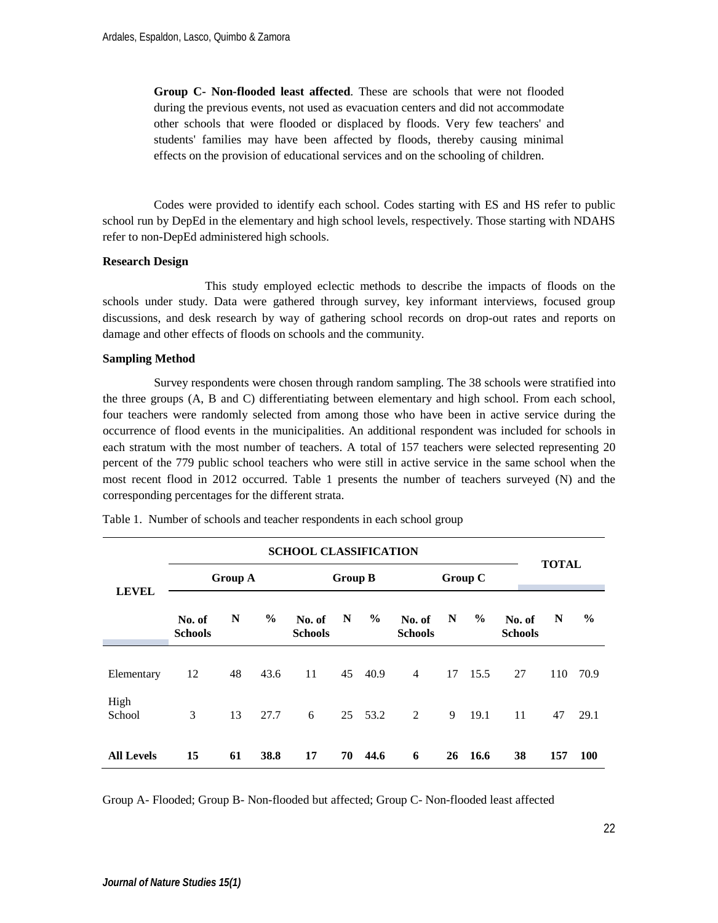**Group C- Non-flooded least affected**. These are schools that were not flooded during the previous events, not used as evacuation centers and did not accommodate other schools that were flooded or displaced by floods. Very few teachers' and students' families may have been affected by floods, thereby causing minimal effects on the provision of educational services and on the schooling of children.

Codes were provided to identify each school. Codes starting with ES and HS refer to public school run by DepEd in the elementary and high school levels, respectively. Those starting with NDAHS refer to non-DepEd administered high schools.

#### **Research Design**

This study employed eclectic methods to describe the impacts of floods on the schools under study. Data were gathered through survey, key informant interviews, focused group discussions, and desk research by way of gathering school records on drop-out rates and reports on damage and other effects of floods on schools and the community.

### **Sampling Method**

Survey respondents were chosen through random sampling. The 38 schools were stratified into the three groups (A, B and C) differentiating between elementary and high school. From each school, four teachers were randomly selected from among those who have been in active service during the occurrence of flood events in the municipalities. An additional respondent was included for schools in each stratum with the most number of teachers. A total of 157 teachers were selected representing 20 percent of the 779 public school teachers who were still in active service in the same school when the most recent flood in 2012 occurred. Table 1 presents the number of teachers surveyed (N) and the corresponding percentages for the different strata.

| <b>SCHOOL CLASSIFICATION</b>   |                          |    |                |                          |    |         |                          |    |               | <b>TOTAL</b>             |     |               |
|--------------------------------|--------------------------|----|----------------|--------------------------|----|---------|--------------------------|----|---------------|--------------------------|-----|---------------|
| <b>Group A</b><br><b>LEVEL</b> |                          |    | <b>Group B</b> |                          |    |         | Group C                  |    |               |                          |     |               |
|                                | No. of<br><b>Schools</b> | N  | $\frac{0}{0}$  | No. of<br><b>Schools</b> | N  | $\%$    | No. of<br><b>Schools</b> | N  | $\frac{6}{9}$ | No. of<br><b>Schools</b> | N   | $\frac{6}{9}$ |
| Elementary                     | 12                       | 48 | 43.6           | 11                       | 45 | 40.9    | $\overline{4}$           | 17 | 15.5          | 27                       | 110 | 70.9          |
| High<br>School                 | 3                        | 13 | 27.7           | 6                        |    | 25 53.2 | $\overline{c}$           | 9  | 19.1          | 11                       | 47  | 29.1          |
| <b>All Levels</b>              | 15                       | 61 | 38.8           | 17                       | 70 | 44.6    | 6                        | 26 | 16.6          | 38                       | 157 | <b>100</b>    |

Table 1. Number of schools and teacher respondents in each school group

Group A- Flooded; Group B- Non-flooded but affected; Group C- Non-flooded least affected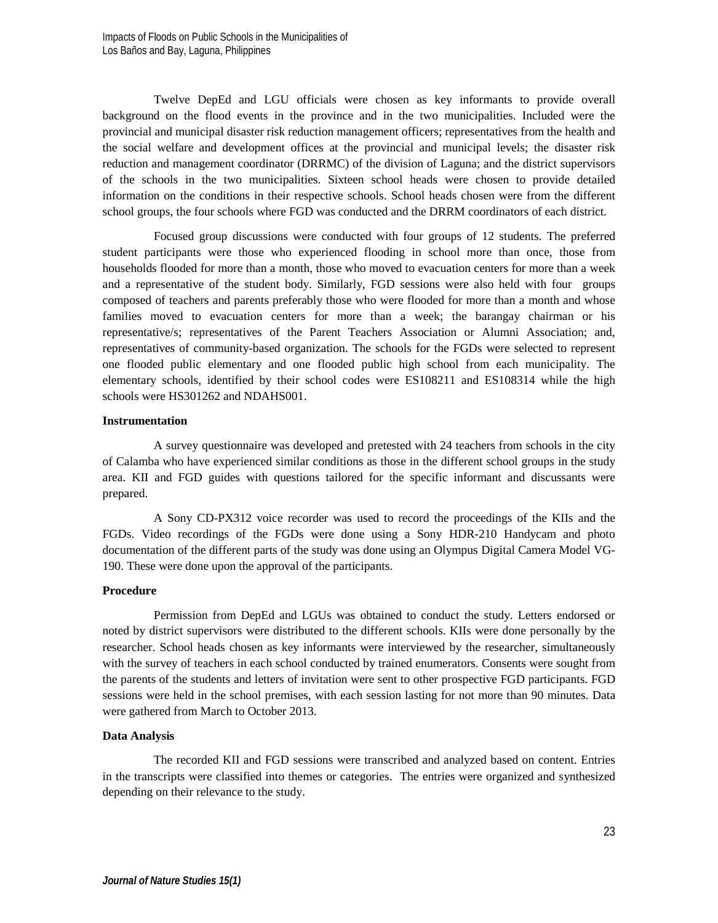Twelve DepEd and LGU officials were chosen as key informants to provide overall background on the flood events in the province and in the two municipalities. Included were the provincial and municipal disaster risk reduction management officers; representatives from the health and the social welfare and development offices at the provincial and municipal levels; the disaster risk reduction and management coordinator (DRRMC) of the division of Laguna; and the district supervisors of the schools in the two municipalities. Sixteen school heads were chosen to provide detailed information on the conditions in their respective schools. School heads chosen were from the different school groups, the four schools where FGD was conducted and the DRRM coordinators of each district.

Focused group discussions were conducted with four groups of 12 students. The preferred student participants were those who experienced flooding in school more than once, those from households flooded for more than a month, those who moved to evacuation centers for more than a week and a representative of the student body. Similarly, FGD sessions were also held with four groups composed of teachers and parents preferably those who were flooded for more than a month and whose families moved to evacuation centers for more than a week; the barangay chairman or his representative/s; representatives of the Parent Teachers Association or Alumni Association; and, representatives of community-based organization. The schools for the FGDs were selected to represent one flooded public elementary and one flooded public high school from each municipality. The elementary schools, identified by their school codes were ES108211 and ES108314 while the high schools were HS301262 and NDAHS001.

### **Instrumentation**

A survey questionnaire was developed and pretested with 24 teachers from schools in the city of Calamba who have experienced similar conditions as those in the different school groups in the study area. KII and FGD guides with questions tailored for the specific informant and discussants were prepared.

A Sony CD-PX312 voice recorder was used to record the proceedings of the KIIs and the FGDs. Video recordings of the FGDs were done using a Sony HDR-210 Handycam and photo documentation of the different parts of the study was done using an Olympus Digital Camera Model VG-190. These were done upon the approval of the participants.

### **Procedure**

Permission from DepEd and LGUs was obtained to conduct the study. Letters endorsed or noted by district supervisors were distributed to the different schools. KIIs were done personally by the researcher. School heads chosen as key informants were interviewed by the researcher, simultaneously with the survey of teachers in each school conducted by trained enumerators. Consents were sought from the parents of the students and letters of invitation were sent to other prospective FGD participants. FGD sessions were held in the school premises, with each session lasting for not more than 90 minutes. Data were gathered from March to October 2013.

### **Data Analysis**

The recorded KII and FGD sessions were transcribed and analyzed based on content. Entries in the transcripts were classified into themes or categories. The entries were organized and synthesized depending on their relevance to the study.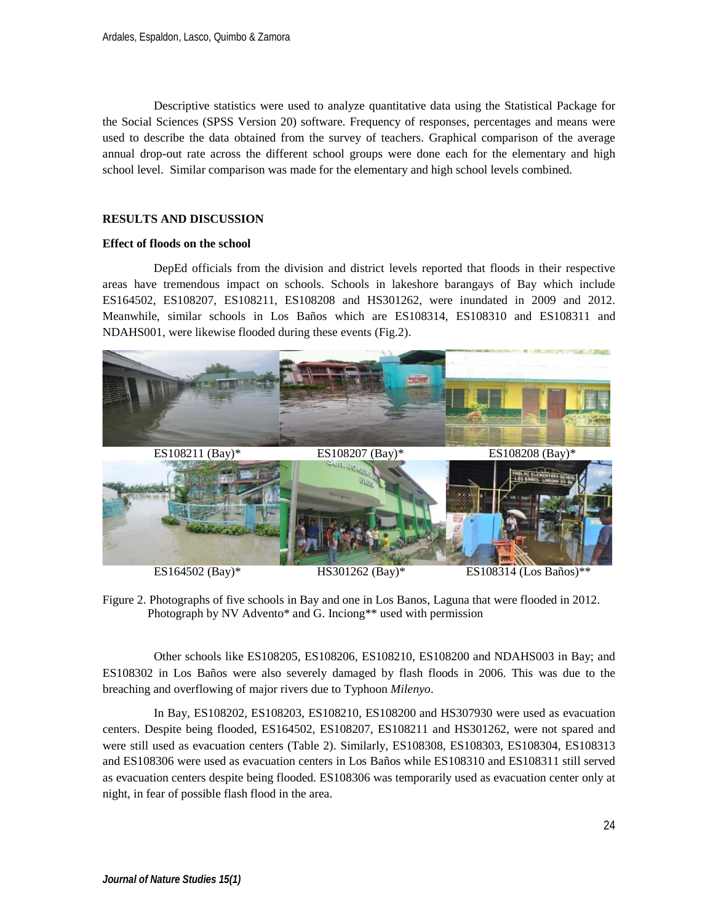Descriptive statistics were used to analyze quantitative data using the Statistical Package for the Social Sciences (SPSS Version 20) software. Frequency of responses, percentages and means were used to describe the data obtained from the survey of teachers. Graphical comparison of the average annual drop-out rate across the different school groups were done each for the elementary and high school level. Similar comparison was made for the elementary and high school levels combined.

### **RESULTS AND DISCUSSION**

### **Effect of floods on the school**

DepEd officials from the division and district levels reported that floods in their respective areas have tremendous impact on schools. Schools in lakeshore barangays of Bay which include ES164502, ES108207, ES108211, ES108208 and HS301262, were inundated in 2009 and 2012. Meanwhile, similar schools in Los Baños which are ES108314, ES108310 and ES108311 and NDAHS001, were likewise flooded during these events (Fig.2).



ES164502 (Bay)\* HS301262 (Bay)\* ES108314 (Los Baños)\*\*

Figure 2. Photographs of five schools in Bay and one in Los Banos, Laguna that were flooded in 2012. Photograph by NV Advento\* and G. Inciong\*\* used with permission

 Other schools like ES108205, ES108206, ES108210, ES108200 and NDAHS003 in Bay; and ES108302 in Los Baños were also severely damaged by flash floods in 2006. This was due to the breaching and overflowing of major rivers due to Typhoon *Milenyo*.

In Bay, ES108202, ES108203, ES108210, ES108200 and HS307930 were used as evacuation centers. Despite being flooded, ES164502, ES108207, ES108211 and HS301262, were not spared and were still used as evacuation centers (Table 2). Similarly, ES108308, ES108303, ES108304, ES108313 and ES108306 were used as evacuation centers in Los Baños while ES108310 and ES108311 still served as evacuation centers despite being flooded. ES108306 was temporarily used as evacuation center only at night, in fear of possible flash flood in the area.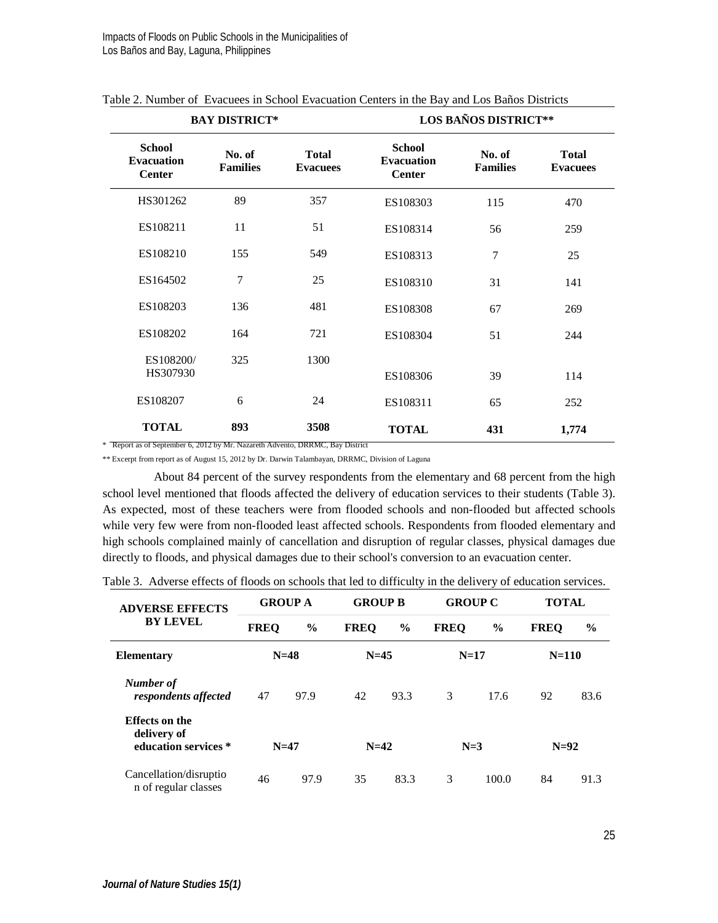|                                                     | <b>BAY DISTRICT*</b>      |                                 | <b>LOS BAÑOS DISTRICT**</b>                         |                           |                                 |  |  |  |  |
|-----------------------------------------------------|---------------------------|---------------------------------|-----------------------------------------------------|---------------------------|---------------------------------|--|--|--|--|
| <b>School</b><br><b>Evacuation</b><br><b>Center</b> | No. of<br><b>Families</b> | <b>Total</b><br><b>Evacuees</b> | <b>School</b><br><b>Evacuation</b><br><b>Center</b> | No. of<br><b>Families</b> | <b>Total</b><br><b>Evacuees</b> |  |  |  |  |
| HS301262                                            | 89                        | 357                             | ES108303                                            | 115                       | 470                             |  |  |  |  |
| ES108211                                            | 11                        | 51                              | ES108314                                            | 56                        | 259                             |  |  |  |  |
| ES108210                                            | 155                       | 549                             | ES108313                                            | $\overline{7}$            | 25                              |  |  |  |  |
| ES164502                                            | $\overline{7}$            | 25                              | ES108310                                            | 31                        | 141                             |  |  |  |  |
| ES108203                                            | 136                       | 481                             | ES108308                                            | 67                        | 269                             |  |  |  |  |
| ES108202                                            | 164                       | 721                             | ES108304                                            | 51                        | 244                             |  |  |  |  |
| ES108200/<br>HS307930                               | 325                       | 1300                            | ES108306                                            | 39                        | 114                             |  |  |  |  |
| ES108207                                            | 6                         | 24                              | ES108311                                            | 65                        | 252                             |  |  |  |  |
| <b>TOTAL</b>                                        | 893                       | 3508                            | <b>TOTAL</b>                                        | 431                       | 1,774                           |  |  |  |  |

|  |  |  |  |  |  |  | Table 2. Number of Evacuees in School Evacuation Centers in the Bay and Los Baños Districts |
|--|--|--|--|--|--|--|---------------------------------------------------------------------------------------------|
|--|--|--|--|--|--|--|---------------------------------------------------------------------------------------------|

\* Report as of September 6, 2012 by Mr. Nazareth Advento, DRRMC, Bay District

\*\* Excerpt from report as of August 15, 2012 by Dr. Darwin Talambayan, DRRMC, Division of Laguna

About 84 percent of the survey respondents from the elementary and 68 percent from the high school level mentioned that floods affected the delivery of education services to their students (Table 3). As expected, most of these teachers were from flooded schools and non-flooded but affected schools while very few were from non-flooded least affected schools. Respondents from flooded elementary and high schools complained mainly of cancellation and disruption of regular classes, physical damages due directly to floods, and physical damages due to their school's conversion to an evacuation center.

|  | Table 3. Adverse effects of floods on schools that led to difficulty in the delivery of education services. |  |  |  |  |  |  |  |
|--|-------------------------------------------------------------------------------------------------------------|--|--|--|--|--|--|--|
|--|-------------------------------------------------------------------------------------------------------------|--|--|--|--|--|--|--|

| <b>ADVERSE EFFECTS</b>                                       | <b>GROUP A</b> |               | <b>GROUP B</b> |               | <b>GROUP C</b> |               | <b>TOTAL</b> |               |
|--------------------------------------------------------------|----------------|---------------|----------------|---------------|----------------|---------------|--------------|---------------|
| <b>BY LEVEL</b>                                              | <b>FREQ</b>    | $\frac{0}{0}$ | <b>FREO</b>    | $\frac{6}{9}$ | <b>FREO</b>    | $\frac{0}{0}$ | <b>FREO</b>  | $\frac{6}{9}$ |
| <b>Elementary</b>                                            | $N=48$         |               | $N=45$         |               | $N=17$         |               | $N = 110$    |               |
| Number of<br>respondents affected                            | 47             | 97.9          | 42             | 93.3          | 3              | 17.6          | 92           | 83.6          |
| <b>Effects on the</b><br>delivery of<br>education services * | $N=47$         |               | $N=42$         |               | $N=3$          |               | $N=92$       |               |
| Cancellation/disruptio<br>n of regular classes               | 46             | 97.9          | 35             | 83.3          | 3              | 100.0         | 84           | 91.3          |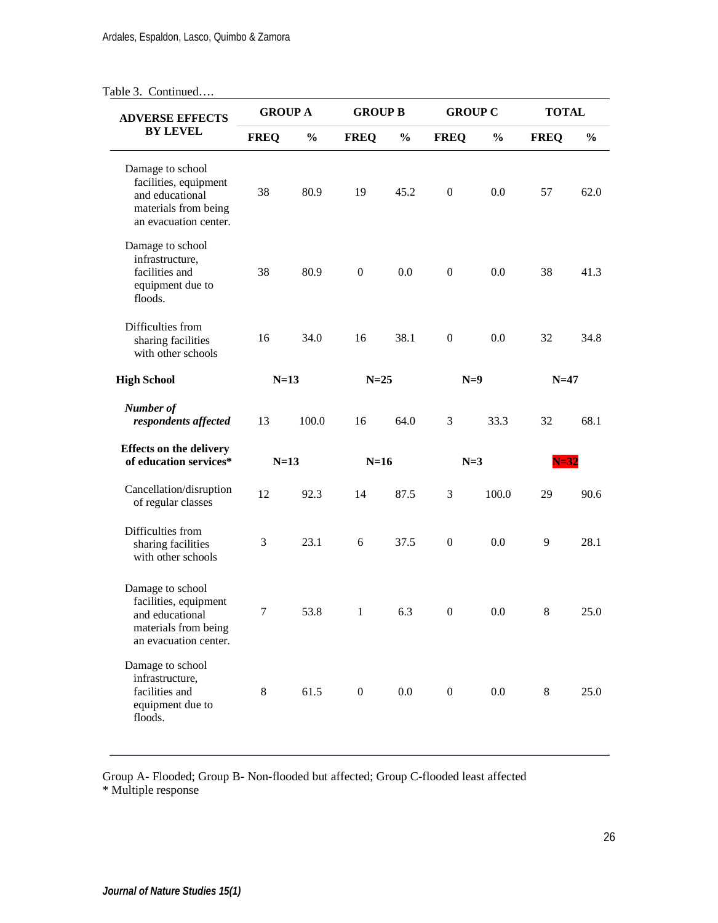# Table 3. Continued….

| <b>ADVERSE EFFECTS</b>                                                                                        | <b>GROUP A</b> |               | <b>GROUP B</b> |               | <b>GROUP C</b> |               | <b>TOTAL</b> |               |
|---------------------------------------------------------------------------------------------------------------|----------------|---------------|----------------|---------------|----------------|---------------|--------------|---------------|
| <b>BY LEVEL</b>                                                                                               | <b>FREQ</b>    | $\frac{0}{0}$ | <b>FREQ</b>    | $\frac{0}{0}$ | <b>FREQ</b>    | $\frac{0}{0}$ | <b>FREQ</b>  | $\frac{0}{0}$ |
| Damage to school<br>facilities, equipment<br>and educational<br>materials from being<br>an evacuation center. | 38             | 80.9          | 19             | 45.2          | $\mathbf{0}$   | 0.0           | 57           | 62.0          |
| Damage to school<br>infrastructure,<br>facilities and<br>equipment due to<br>floods.                          | 38             | 80.9          | $\overline{0}$ | 0.0           | $\mathbf{0}$   | 0.0           | 38           | 41.3          |
| Difficulties from<br>sharing facilities<br>with other schools                                                 | 16             | 34.0          | 16             | 38.1          | $\Omega$       | $0.0^{\circ}$ | 32           | 34.8          |
| <b>High School</b>                                                                                            | $N=13$         |               | $N=25$         |               | $N=9$          |               | $N=47$       |               |
| Number of<br>respondents affected                                                                             | 13             | 100.0         | 16             | 64.0          | 3              | 33.3          | 32           | 68.1          |
| <b>Effects on the delivery</b><br>of education services*                                                      | $N=13$         |               | $N=16$         |               | $N=3$          |               | N=32         |               |
| Cancellation/disruption<br>of regular classes                                                                 | 12             | 92.3          | 14             | 87.5          | 3              | 100.0         | 29           | 90.6          |
| Difficulties from<br>sharing facilities<br>with other schools                                                 | 3              | 23.1          | 6              | 37.5          | $\theta$       | $0.0^{\circ}$ | 9            | 28.1          |
| Damage to school<br>facilities, equipment<br>and educational<br>materials from being<br>an evacuation center. | 7              | 53.8          | $\mathbf{1}$   | 6.3           | $\mathbf{0}$   | 0.0           | 8            | 25.0          |
| Damage to school<br>infrastructure,<br>facilities and<br>equipment due to<br>floods.                          | 8              | 61.5          | $\overline{0}$ | 0.0           | $\mathbf{0}$   | 0.0           | 8            | 25.0          |

Group A- Flooded; Group B- Non-flooded but affected; Group C-flooded least affected

\* Multiple response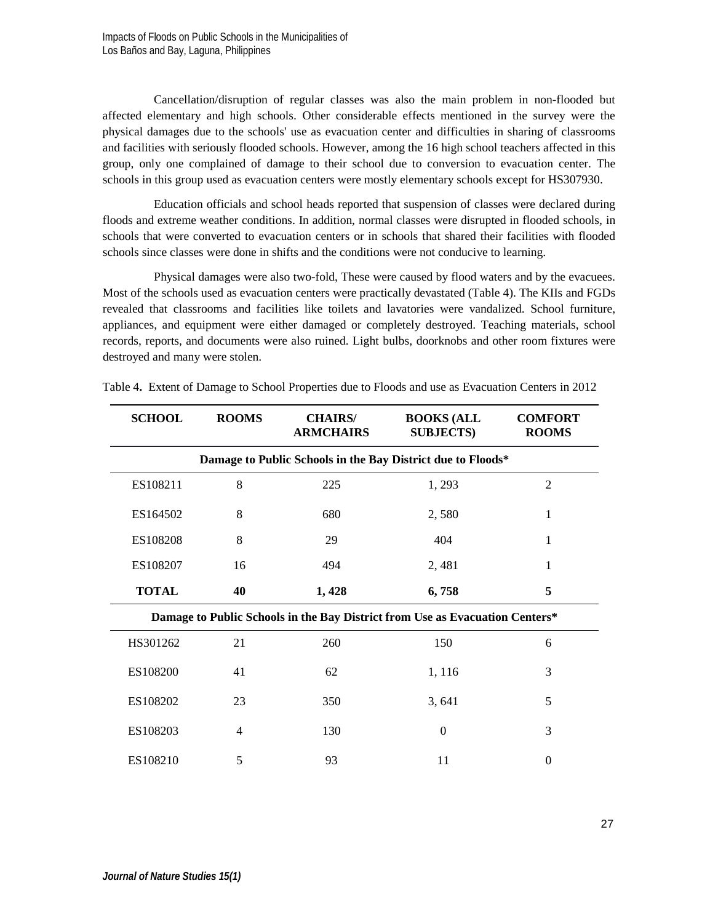Cancellation/disruption of regular classes was also the main problem in non-flooded but affected elementary and high schools. Other considerable effects mentioned in the survey were the physical damages due to the schools' use as evacuation center and difficulties in sharing of classrooms and facilities with seriously flooded schools. However, among the 16 high school teachers affected in this group, only one complained of damage to their school due to conversion to evacuation center. The schools in this group used as evacuation centers were mostly elementary schools except for HS307930.

Education officials and school heads reported that suspension of classes were declared during floods and extreme weather conditions. In addition, normal classes were disrupted in flooded schools, in schools that were converted to evacuation centers or in schools that shared their facilities with flooded schools since classes were done in shifts and the conditions were not conducive to learning.

Physical damages were also two-fold, These were caused by flood waters and by the evacuees. Most of the schools used as evacuation centers were practically devastated (Table 4). The KIIs and FGDs revealed that classrooms and facilities like toilets and lavatories were vandalized. School furniture, appliances, and equipment were either damaged or completely destroyed. Teaching materials, school records, reports, and documents were also ruined. Light bulbs, doorknobs and other room fixtures were destroyed and many were stolen.

| <b>SCHOOL</b> | <b>ROOMS</b> | <b>CHAIRS/</b><br><b>ARMCHAIRS</b> | <b>BOOKS (ALL</b><br><b>SUBJECTS</b> )                                       | <b>COMFORT</b><br><b>ROOMS</b> |
|---------------|--------------|------------------------------------|------------------------------------------------------------------------------|--------------------------------|
|               |              |                                    | Damage to Public Schools in the Bay District due to Floods*                  |                                |
| ES108211      | 8            | 225                                | 1,293                                                                        | 2                              |
| ES164502      | 8            | 680                                | 2,580                                                                        | 1                              |
| ES108208      | 8            | 29                                 | 404                                                                          | 1                              |
| ES108207      | 16           | 494                                | 2,481                                                                        | 1                              |
| <b>TOTAL</b>  | 40           | 1,428                              | 6,758                                                                        | 5                              |
|               |              |                                    | Damage to Public Schools in the Bay District from Use as Evacuation Centers* |                                |
| HS301262      | 21           | 260                                | 150                                                                          | 6                              |
| ES108200      | 41           | 62                                 | 1, 116                                                                       | 3                              |
| ES108202      | 23           | 350                                | 3,641                                                                        | 5                              |
| ES108203      | 4            | 130                                | $\Omega$                                                                     | 3                              |
| ES108210      | 5            | 93                                 | 11                                                                           | $\Omega$                       |

Table 4**.** Extent of Damage to School Properties due to Floods and use as Evacuation Centers in 2012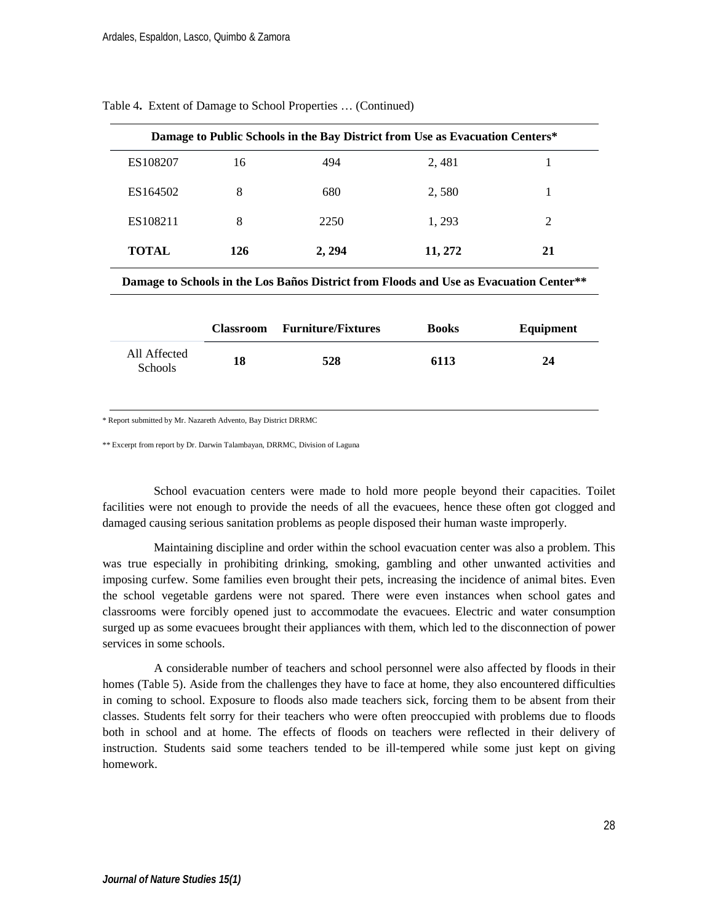|              |     |        | Damage to Public Schools in the Bay District from Use as Evacuation Centers* |    |
|--------------|-----|--------|------------------------------------------------------------------------------|----|
| ES108207     | 16  | 494    | 2,481                                                                        |    |
| ES164502     | 8   | 680    | 2,580                                                                        |    |
| ES108211     | 8   | 2250   | 1, 293                                                                       |    |
| <b>TOTAL</b> | 126 | 2, 294 | 11, 272                                                                      | 21 |

Table 4**.** Extent of Damage to School Properties … (Continued)

**Damage to Schools in the Los Baños District from Floods and Use as Evacuation Center\*\***

|                         | <b>Classroom</b> | <b>Furniture/Fixtures</b> | <b>Books</b> | Equipment |
|-------------------------|------------------|---------------------------|--------------|-----------|
| All Affected<br>Schools | 18               | 528                       | 6113         | 24        |

\* Report submitted by Mr. Nazareth Advento, Bay District DRRMC

\*\* Excerpt from report by Dr. Darwin Talambayan, DRRMC, Division of Laguna

School evacuation centers were made to hold more people beyond their capacities. Toilet facilities were not enough to provide the needs of all the evacuees, hence these often got clogged and damaged causing serious sanitation problems as people disposed their human waste improperly.

Maintaining discipline and order within the school evacuation center was also a problem. This was true especially in prohibiting drinking, smoking, gambling and other unwanted activities and imposing curfew. Some families even brought their pets, increasing the incidence of animal bites. Even the school vegetable gardens were not spared. There were even instances when school gates and classrooms were forcibly opened just to accommodate the evacuees. Electric and water consumption surged up as some evacuees brought their appliances with them, which led to the disconnection of power services in some schools.

A considerable number of teachers and school personnel were also affected by floods in their homes (Table 5). Aside from the challenges they have to face at home, they also encountered difficulties in coming to school. Exposure to floods also made teachers sick, forcing them to be absent from their classes. Students felt sorry for their teachers who were often preoccupied with problems due to floods both in school and at home. The effects of floods on teachers were reflected in their delivery of instruction. Students said some teachers tended to be ill-tempered while some just kept on giving homework.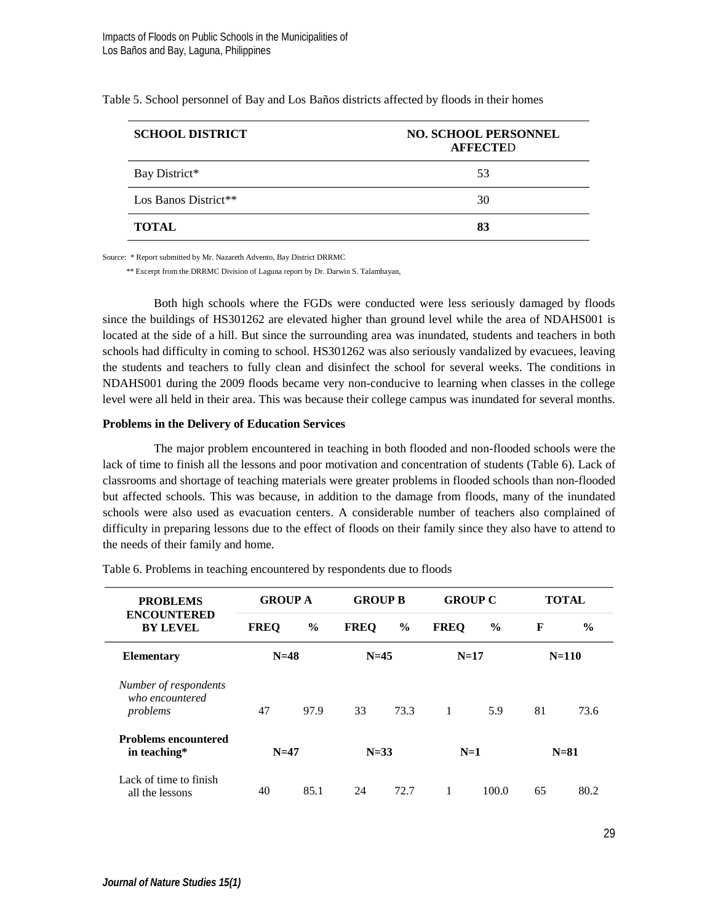| <b>SCHOOL DISTRICT</b> | <b>NO. SCHOOL PERSONNEL</b><br><b>AFFECTED</b> |
|------------------------|------------------------------------------------|
| Bay District*          | 53                                             |
| Los Banos District**   | 30                                             |
| <b>TOTAL</b>           | 83                                             |

Table 5. School personnel of Bay and Los Baños districts affected by floods in their homes

Source: \* Report submitted by Mr. Nazareth Advento, Bay District DRRMC

\*\* Excerpt from the DRRMC Division of Laguna report by Dr. Darwin S. Talambayan,

Both high schools where the FGDs were conducted were less seriously damaged by floods since the buildings of HS301262 are elevated higher than ground level while the area of NDAHS001 is located at the side of a hill. But since the surrounding area was inundated, students and teachers in both schools had difficulty in coming to school. HS301262 was also seriously vandalized by evacuees, leaving the students and teachers to fully clean and disinfect the school for several weeks. The conditions in NDAHS001 during the 2009 floods became very non-conducive to learning when classes in the college level were all held in their area. This was because their college campus was inundated for several months.

#### **Problems in the Delivery of Education Services**

The major problem encountered in teaching in both flooded and non-flooded schools were the lack of time to finish all the lessons and poor motivation and concentration of students (Table 6). Lack of classrooms and shortage of teaching materials were greater problems in flooded schools than non-flooded but affected schools. This was because, in addition to the damage from floods, many of the inundated schools were also used as evacuation centers. A considerable number of teachers also complained of difficulty in preparing lessons due to the effect of floods on their family since they also have to attend to the needs of their family and home.

| <b>PROBLEMS</b>                                      | <b>GROUP A</b> |      | <b>GROUP B</b> |               | <b>GROUP C</b> |               | <b>TOTAL</b> |               |
|------------------------------------------------------|----------------|------|----------------|---------------|----------------|---------------|--------------|---------------|
| <b>ENCOUNTERED</b><br><b>BY LEVEL</b>                | <b>FREO</b>    | $\%$ | <b>FREO</b>    | $\frac{6}{9}$ | <b>FREO</b>    | $\frac{6}{9}$ | F            | $\frac{6}{9}$ |
| <b>Elementary</b>                                    | $N=48$         |      | $N=45$         |               | $N=17$         |               |              | $N = 110$     |
| Number of respondents<br>who encountered<br>problems | 47             | 97.9 | 33             | 73.3          | 1              | 5.9           | 81           | 73.6          |
| <b>Problems encountered</b><br>in teaching*          | $N=47$         |      | $N=33$         |               | $N=1$          |               |              | $N = 81$      |
| Lack of time to finish<br>all the lessons            | 40             | 85.1 | 24             | 72.7          | 1              | 100.0         | 65           | 80.2          |

Table 6. Problems in teaching encountered by respondents due to floods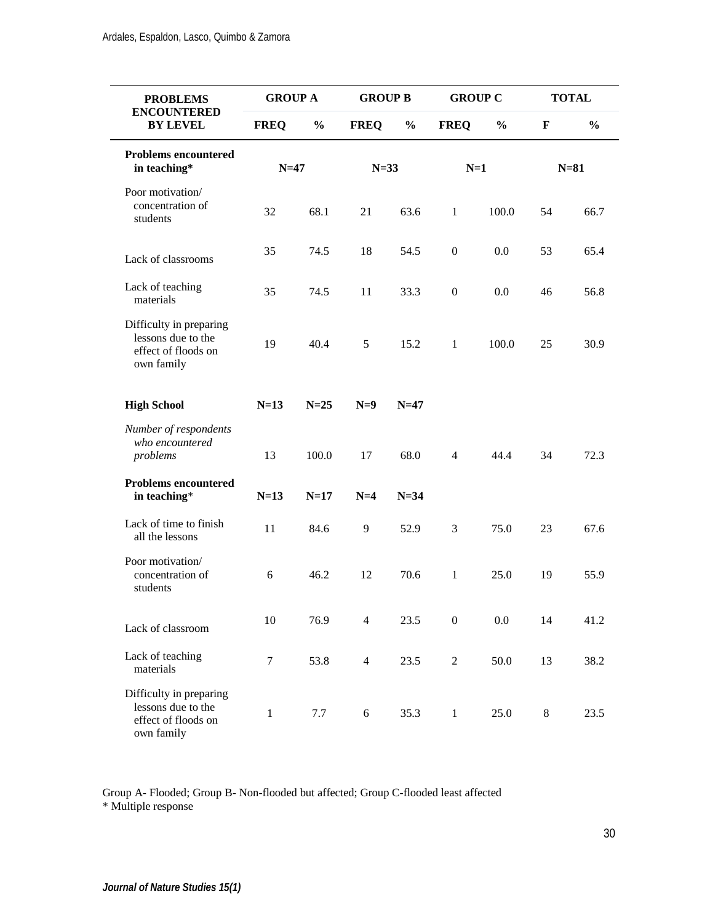| <b>PROBLEMS</b>                                                                    | <b>GROUP A</b> |               | <b>GROUP B</b> |               | <b>GROUP C</b> |               | <b>TOTAL</b> |               |
|------------------------------------------------------------------------------------|----------------|---------------|----------------|---------------|----------------|---------------|--------------|---------------|
| <b>ENCOUNTERED</b><br><b>BY LEVEL</b>                                              | <b>FREQ</b>    | $\frac{0}{0}$ | <b>FREO</b>    | $\frac{0}{0}$ | <b>FREO</b>    | $\frac{6}{6}$ | F            | $\frac{0}{0}$ |
| <b>Problems encountered</b><br>in teaching*                                        | $N=47$         |               | $N=33$         |               | $N=1$          |               | $N=81$       |               |
| Poor motivation/<br>concentration of<br>students                                   | 32             | 68.1          | 21             | 63.6          | $\mathbf{1}$   | 100.0         | 54           | 66.7          |
| Lack of classrooms                                                                 | 35             | 74.5          | 18             | 54.5          | $\mathbf{0}$   | 0.0           | 53           | 65.4          |
| Lack of teaching<br>materials                                                      | 35             | 74.5          | 11             | 33.3          | $\overline{0}$ | 0.0           | 46           | 56.8          |
| Difficulty in preparing<br>lessons due to the<br>effect of floods on<br>own family | 19             | 40.4          | 5              | 15.2          | $\mathbf{1}$   | 100.0         | 25           | 30.9          |
| <b>High School</b>                                                                 | $N=13$         | $N=25$        | $N=9$          | $N=47$        |                |               |              |               |
| Number of respondents<br>who encountered<br>problems                               | 13             | 100.0         | 17             | 68.0          | $\overline{4}$ | 44.4          | 34           | 72.3          |
| <b>Problems encountered</b><br>in teaching*                                        | $N=13$         | $N=17$        | $N=4$          | $N=34$        |                |               |              |               |
| Lack of time to finish<br>all the lessons                                          | 11             | 84.6          | 9              | 52.9          | 3              | 75.0          | 23           | 67.6          |
| Poor motivation/<br>concentration of<br>students                                   | 6              | 46.2          | 12             | 70.6          | $\mathbf{1}$   | 25.0          | 19           | 55.9          |
| Lack of classroom                                                                  | 10             | 76.9          | $\overline{4}$ | 23.5          | $\overline{0}$ | 0.0           | 14           | 41.2          |
| Lack of teaching<br>materials                                                      | $\tau$         | 53.8          | $\overline{4}$ | 23.5          | $\overline{c}$ | 50.0          | 13           | 38.2          |
| Difficulty in preparing<br>lessons due to the<br>effect of floods on<br>own family | $\mathbf{1}$   | 7.7           | 6              | 35.3          | $\mathbf{1}$   | 25.0          | 8            | 23.5          |

Group A- Flooded; Group B- Non-flooded but affected; Group C-flooded least affected \* Multiple response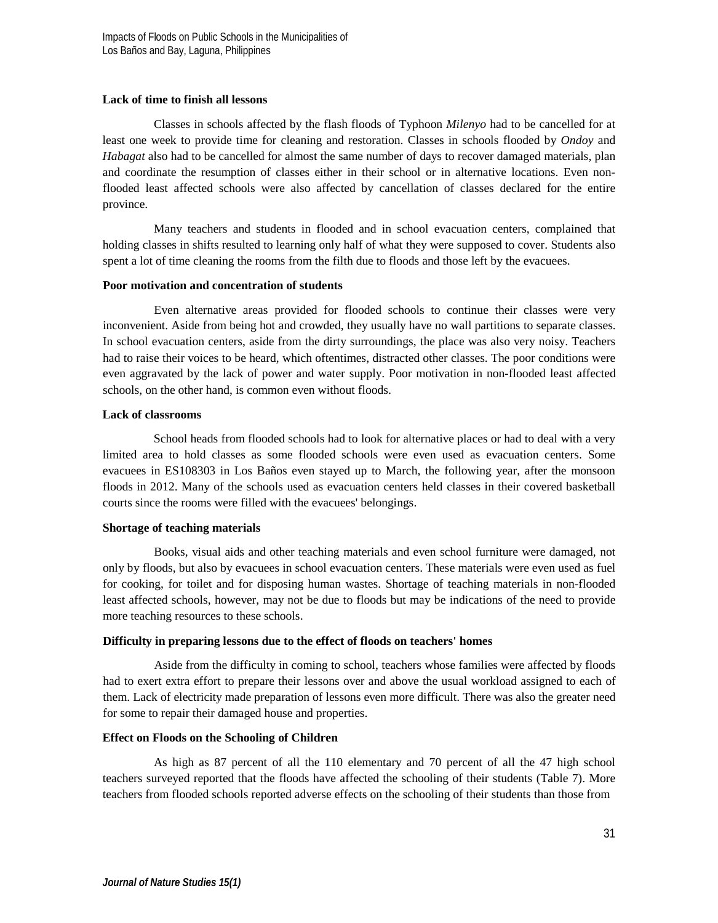### **Lack of time to finish all lessons**

Classes in schools affected by the flash floods of Typhoon *Milenyo* had to be cancelled for at least one week to provide time for cleaning and restoration. Classes in schools flooded by *Ondoy* and *Habagat* also had to be cancelled for almost the same number of days to recover damaged materials, plan and coordinate the resumption of classes either in their school or in alternative locations. Even nonflooded least affected schools were also affected by cancellation of classes declared for the entire province.

Many teachers and students in flooded and in school evacuation centers, complained that holding classes in shifts resulted to learning only half of what they were supposed to cover. Students also spent a lot of time cleaning the rooms from the filth due to floods and those left by the evacuees.

### **Poor motivation and concentration of students**

Even alternative areas provided for flooded schools to continue their classes were very inconvenient. Aside from being hot and crowded, they usually have no wall partitions to separate classes. In school evacuation centers, aside from the dirty surroundings, the place was also very noisy. Teachers had to raise their voices to be heard, which oftentimes, distracted other classes. The poor conditions were even aggravated by the lack of power and water supply. Poor motivation in non-flooded least affected schools, on the other hand, is common even without floods.

### **Lack of classrooms**

School heads from flooded schools had to look for alternative places or had to deal with a very limited area to hold classes as some flooded schools were even used as evacuation centers. Some evacuees in ES108303 in Los Baños even stayed up to March, the following year, after the monsoon floods in 2012. Many of the schools used as evacuation centers held classes in their covered basketball courts since the rooms were filled with the evacuees' belongings.

### **Shortage of teaching materials**

Books, visual aids and other teaching materials and even school furniture were damaged, not only by floods, but also by evacuees in school evacuation centers. These materials were even used as fuel for cooking, for toilet and for disposing human wastes. Shortage of teaching materials in non-flooded least affected schools, however, may not be due to floods but may be indications of the need to provide more teaching resources to these schools.

### **Difficulty in preparing lessons due to the effect of floods on teachers' homes**

Aside from the difficulty in coming to school, teachers whose families were affected by floods had to exert extra effort to prepare their lessons over and above the usual workload assigned to each of them. Lack of electricity made preparation of lessons even more difficult. There was also the greater need for some to repair their damaged house and properties.

### **Effect on Floods on the Schooling of Children**

As high as 87 percent of all the 110 elementary and 70 percent of all the 47 high school teachers surveyed reported that the floods have affected the schooling of their students (Table 7). More teachers from flooded schools reported adverse effects on the schooling of their students than those from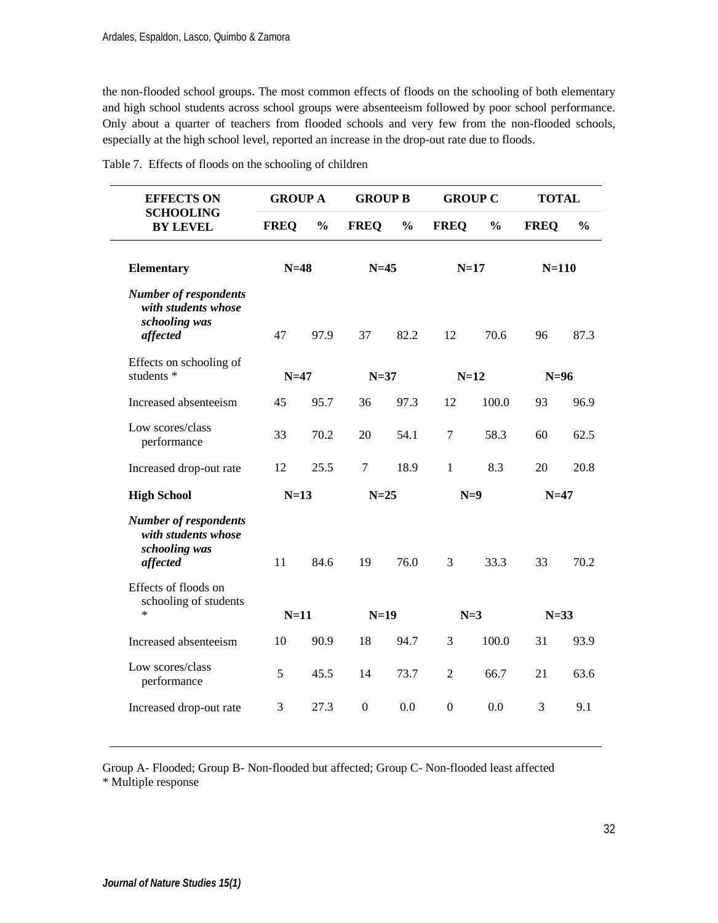the non-flooded school groups. The most common effects of floods on the schooling of both elementary and high school students across school groups were absenteeism followed by poor school performance. Only about a quarter of teachers from flooded schools and very few from the non-flooded schools, especially at the high school level, reported an increase in the drop-out rate due to floods.

| <b>EFFECTS ON</b><br><b>SCHOOLING</b><br><b>BY LEVEL</b>                         | <b>GROUP A</b> |               | <b>GROUP B</b> |               | <b>GROUP C</b> |               | <b>TOTAL</b> |               |
|----------------------------------------------------------------------------------|----------------|---------------|----------------|---------------|----------------|---------------|--------------|---------------|
|                                                                                  | <b>FREO</b>    | $\frac{0}{0}$ | <b>FREO</b>    | $\frac{0}{0}$ | <b>FREO</b>    | $\frac{0}{0}$ | <b>FREO</b>  | $\frac{0}{0}$ |
| <b>Elementary</b>                                                                | $N=48$         |               | $N=45$         |               | $N=17$         |               | $N = 110$    |               |
| <b>Number of respondents</b><br>with students whose<br>schooling was<br>affected | 47             | 97.9          | 37             | 82.2          | 12             | 70.6          | 96           | 87.3          |
| Effects on schooling of<br>students *                                            | $N=47$         |               | $N=37$         |               | $N=12$         |               | $N=96$       |               |
| Increased absenteeism                                                            | 45             | 95.7          | 36             | 97.3          | 12             | 100.0         | 93           | 96.9          |
| Low scores/class<br>performance                                                  | 33             | 70.2          | 20             | 54.1          | 7              | 58.3          | 60           | 62.5          |
| Increased drop-out rate                                                          | 12             | 25.5          | $\overline{7}$ | 18.9          | $\mathbf{1}$   | 8.3           | 20           | 20.8          |
| <b>High School</b>                                                               | $N=13$         |               | $N=25$         |               | $N=9$          |               | $N=47$       |               |
| <b>Number of respondents</b><br>with students whose<br>schooling was<br>affected | 11             | 84.6          | 19             | 76.0          | 3              | 33.3          | 33           | 70.2          |
| Effects of floods on<br>schooling of students<br>$\ast$                          | $N=11$         |               | $N=19$         |               | $N=3$          |               | $N=33$       |               |
| Increased absenteeism                                                            | 10             | 90.9          | 18             | 94.7          | 3              | 100.0         | 31           | 93.9          |
| Low scores/class<br>performance                                                  | 5              | 45.5          | 14             | 73.7          | $\overline{c}$ | 66.7          | 21           | 63.6          |
| Increased drop-out rate                                                          | 3              | 27.3          | $\mathbf{0}$   | 0.0           | $\theta$       | 0.0           | 3            | 9.1           |

Table 7. Effects of floods on the schooling of children

Group A- Flooded; Group B- Non-flooded but affected; Group C- Non-flooded least affected \* Multiple response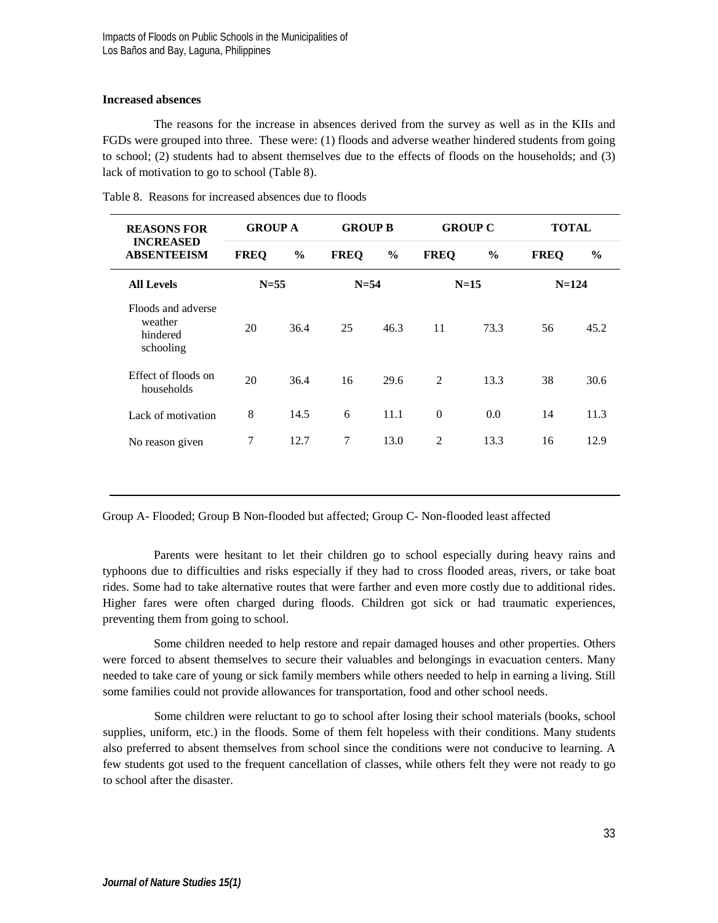### **Increased absences**

The reasons for the increase in absences derived from the survey as well as in the KIIs and FGDs were grouped into three. These were: (1) floods and adverse weather hindered students from going to school; (2) students had to absent themselves due to the effects of floods on the households; and (3) lack of motivation to go to school (Table 8).

| <b>REASONS FOR</b><br><b>INCREASED</b><br><b>ABSENTEEISM</b> | <b>GROUP A</b> |               | <b>GROUP B</b> |               | <b>GROUP C</b> |               | <b>TOTAL</b> |               |
|--------------------------------------------------------------|----------------|---------------|----------------|---------------|----------------|---------------|--------------|---------------|
|                                                              | <b>FREQ</b>    | $\frac{0}{0}$ | <b>FREO</b>    | $\frac{0}{0}$ | <b>FREO</b>    | $\frac{6}{9}$ | <b>FREO</b>  | $\frac{6}{9}$ |
| <b>All Levels</b>                                            | $N = 55$       |               | $N = 54$       |               | $N=15$         |               | $N = 124$    |               |
| Floods and adverse<br>weather<br>hindered<br>schooling       | 20             | 36.4          | 25             | 46.3          | 11             | 73.3          | 56           | 45.2          |
| Effect of floods on<br>households                            | 20             | 36.4          | 16             | 29.6          | $\overline{2}$ | 13.3          | 38           | 30.6          |
| Lack of motivation                                           | 8              | 14.5          | 6              | 11.1          | $\mathbf{0}$   | 0.0           | 14           | 11.3          |
| No reason given                                              | 7              | 12.7          | 7              | 13.0          | $\overline{c}$ | 13.3          | 16           | 12.9          |

Table 8. Reasons for increased absences due to floods

Group A- Flooded; Group B Non-flooded but affected; Group C- Non-flooded least affected

Parents were hesitant to let their children go to school especially during heavy rains and typhoons due to difficulties and risks especially if they had to cross flooded areas, rivers, or take boat rides. Some had to take alternative routes that were farther and even more costly due to additional rides. Higher fares were often charged during floods. Children got sick or had traumatic experiences, preventing them from going to school.

Some children needed to help restore and repair damaged houses and other properties. Others were forced to absent themselves to secure their valuables and belongings in evacuation centers. Many needed to take care of young or sick family members while others needed to help in earning a living. Still some families could not provide allowances for transportation, food and other school needs.

Some children were reluctant to go to school after losing their school materials (books, school supplies, uniform, etc.) in the floods. Some of them felt hopeless with their conditions. Many students also preferred to absent themselves from school since the conditions were not conducive to learning. A few students got used to the frequent cancellation of classes, while others felt they were not ready to go to school after the disaster.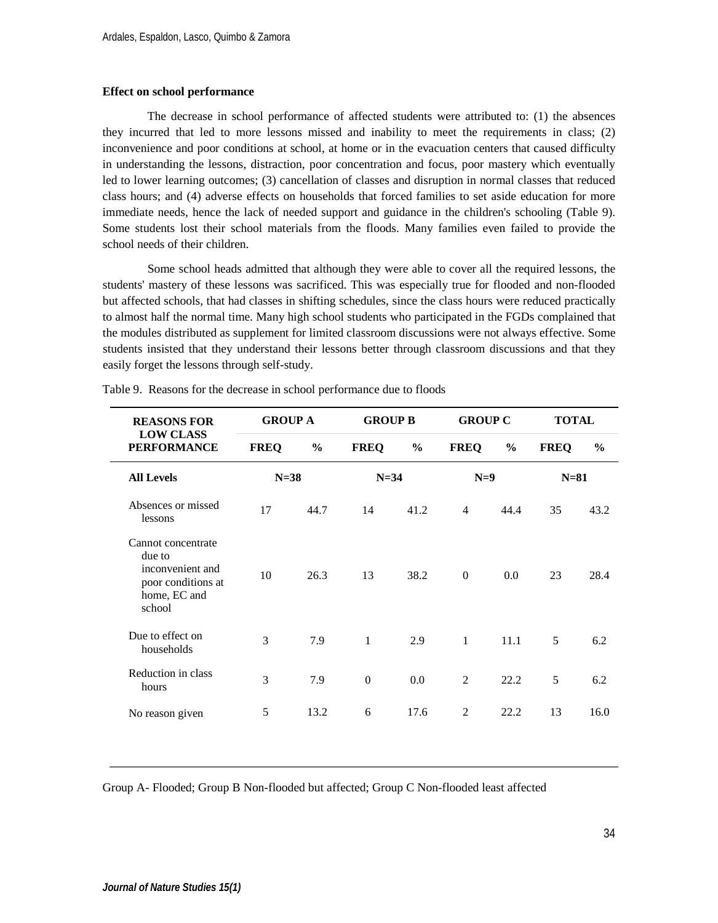#### **Effect on school performance**

The decrease in school performance of affected students were attributed to: (1) the absences they incurred that led to more lessons missed and inability to meet the requirements in class; (2) inconvenience and poor conditions at school, at home or in the evacuation centers that caused difficulty in understanding the lessons, distraction, poor concentration and focus, poor mastery which eventually led to lower learning outcomes; (3) cancellation of classes and disruption in normal classes that reduced class hours; and (4) adverse effects on households that forced families to set aside education for more immediate needs, hence the lack of needed support and guidance in the children's schooling (Table 9). Some students lost their school materials from the floods. Many families even failed to provide the school needs of their children.

Some school heads admitted that although they were able to cover all the required lessons, the students' mastery of these lessons was sacrificed. This was especially true for flooded and non-flooded but affected schools, that had classes in shifting schedules, since the class hours were reduced practically to almost half the normal time. Many high school students who participated in the FGDs complained that the modules distributed as supplement for limited classroom discussions were not always effective. Some students insisted that they understand their lessons better through classroom discussions and that they easily forget the lessons through self-study.

| <b>REASONS FOR</b><br><b>LOW CLASS</b><br><b>PERFORMANCE</b>                                     | <b>GROUP A</b> |               | <b>GROUP B</b> |               | <b>GROUP C</b> |               | <b>TOTAL</b> |               |
|--------------------------------------------------------------------------------------------------|----------------|---------------|----------------|---------------|----------------|---------------|--------------|---------------|
|                                                                                                  | <b>FREQ</b>    | $\frac{0}{0}$ | <b>FREQ</b>    | $\frac{6}{9}$ | <b>FREQ</b>    | $\frac{6}{6}$ | <b>FREQ</b>  | $\frac{6}{9}$ |
| <b>All Levels</b>                                                                                | $N=38$         |               | $N=34$         |               | $N=9$          |               | $N=81$       |               |
| Absences or missed<br>lessons                                                                    | 17             | 44.7          | 14             | 41.2          | $\overline{4}$ | 44.4          | 35           | 43.2          |
| Cannot concentrate<br>due to<br>inconvenient and<br>poor conditions at<br>home, EC and<br>school | 10             | 26.3          | 13             | 38.2          | $\Omega$       | 0.0           | 23           | 28.4          |
| Due to effect on<br>households                                                                   | 3              | 7.9           | 1              | 2.9           | $\mathbf{1}$   | 11.1          | 5            | 6.2           |
| Reduction in class<br>hours                                                                      | 3              | 7.9           | $\Omega$       | 0.0           | $\overline{c}$ | 22.2          | 5            | 6.2           |
| No reason given                                                                                  | 5              | 13.2          | 6              | 17.6          | $\overline{2}$ | 22.2          | 13           | 16.0          |

Table 9. Reasons for the decrease in school performance due to floods

Group A- Flooded; Group B Non-flooded but affected; Group C Non-flooded least affected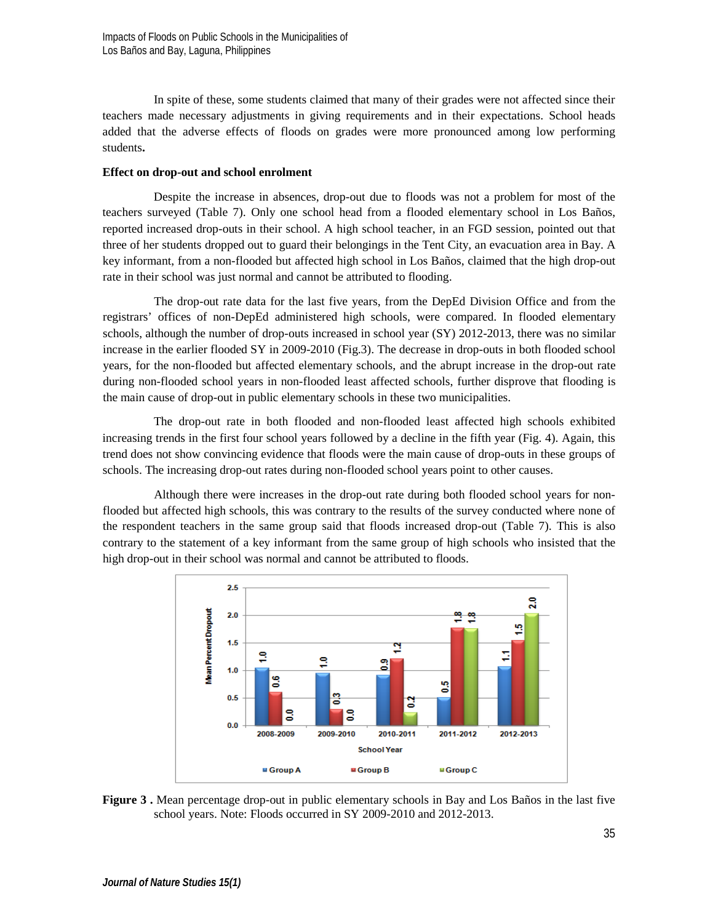In spite of these, some students claimed that many of their grades were not affected since their teachers made necessary adjustments in giving requirements and in their expectations. School heads added that the adverse effects of floods on grades were more pronounced among low performing students**.**

### **Effect on drop-out and school enrolment**

Despite the increase in absences, drop-out due to floods was not a problem for most of the teachers surveyed (Table 7). Only one school head from a flooded elementary school in Los Baños, reported increased drop-outs in their school. A high school teacher, in an FGD session, pointed out that three of her students dropped out to guard their belongings in the Tent City, an evacuation area in Bay. A key informant, from a non-flooded but affected high school in Los Baños, claimed that the high drop-out rate in their school was just normal and cannot be attributed to flooding.

The drop-out rate data for the last five years, from the DepEd Division Office and from the registrars' offices of non-DepEd administered high schools, were compared. In flooded elementary schools, although the number of drop-outs increased in school year (SY) 2012-2013, there was no similar increase in the earlier flooded SY in 2009-2010 (Fig.3). The decrease in drop-outs in both flooded school years, for the non-flooded but affected elementary schools, and the abrupt increase in the drop-out rate during non-flooded school years in non-flooded least affected schools, further disprove that flooding is the main cause of drop-out in public elementary schools in these two municipalities.

The drop-out rate in both flooded and non-flooded least affected high schools exhibited increasing trends in the first four school years followed by a decline in the fifth year (Fig. 4). Again, this trend does not show convincing evidence that floods were the main cause of drop-outs in these groups of schools. The increasing drop-out rates during non-flooded school years point to other causes.

Although there were increases in the drop-out rate during both flooded school years for nonflooded but affected high schools, this was contrary to the results of the survey conducted where none of the respondent teachers in the same group said that floods increased drop-out (Table 7). This is also contrary to the statement of a key informant from the same group of high schools who insisted that the high drop-out in their school was normal and cannot be attributed to floods.



**Figure 3 .** Mean percentage drop-out in public elementary schools in Bay and Los Baños in the last five school years. Note: Floods occurred in SY 2009-2010 and 2012-2013.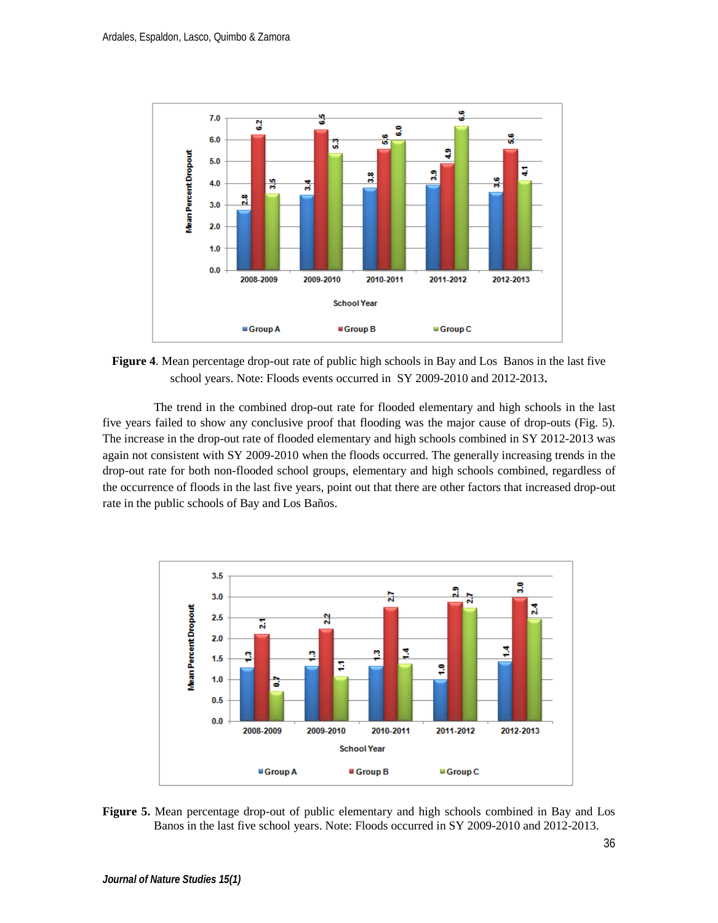

**Figure 4**. Mean percentage drop-out rate of public high schools in Bay and Los Banos in the last five school years. Note: Floods events occurred in SY 2009-2010 and 2012-2013.

The trend in the combined drop-out rate for flooded elementary and high schools in the last five years failed to show any conclusive proof that flooding was the major cause of drop-outs (Fig. 5). The increase in the drop-out rate of flooded elementary and high schools combined in SY 2012-2013 was again not consistent with SY 2009-2010 when the floods occurred. The generally increasing trends in the drop-out rate for both non-flooded school groups, elementary and high schools combined, regardless of the occurrence of floods in the last five years, point out that there are other factors that increased drop-out rate in the public schools of Bay and Los Baños.



**Figure 5.** Mean percentage drop-out of public elementary and high schools combined in Bay and Los Banos in the last five school years. Note: Floods occurred in SY 2009-2010 and 2012-2013.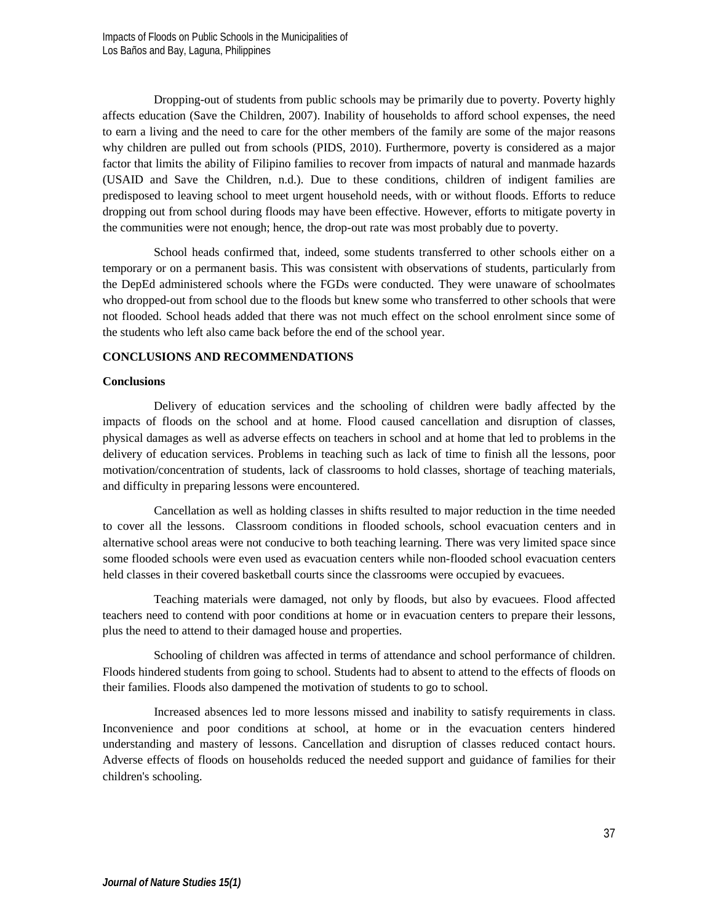Dropping-out of students from public schools may be primarily due to poverty. Poverty highly affects education (Save the Children, 2007). Inability of households to afford school expenses, the need to earn a living and the need to care for the other members of the family are some of the major reasons why children are pulled out from schools (PIDS, 2010). Furthermore, poverty is considered as a major factor that limits the ability of Filipino families to recover from impacts of natural and manmade hazards (USAID and Save the Children, n.d.). Due to these conditions, children of indigent families are predisposed to leaving school to meet urgent household needs, with or without floods. Efforts to reduce dropping out from school during floods may have been effective. However, efforts to mitigate poverty in the communities were not enough; hence, the drop-out rate was most probably due to poverty.

School heads confirmed that, indeed, some students transferred to other schools either on a temporary or on a permanent basis. This was consistent with observations of students, particularly from the DepEd administered schools where the FGDs were conducted. They were unaware of schoolmates who dropped-out from school due to the floods but knew some who transferred to other schools that were not flooded. School heads added that there was not much effect on the school enrolment since some of the students who left also came back before the end of the school year.

# **CONCLUSIONS AND RECOMMENDATIONS**

### **Conclusions**

Delivery of education services and the schooling of children were badly affected by the impacts of floods on the school and at home. Flood caused cancellation and disruption of classes, physical damages as well as adverse effects on teachers in school and at home that led to problems in the delivery of education services. Problems in teaching such as lack of time to finish all the lessons, poor motivation/concentration of students, lack of classrooms to hold classes, shortage of teaching materials, and difficulty in preparing lessons were encountered.

Cancellation as well as holding classes in shifts resulted to major reduction in the time needed to cover all the lessons. Classroom conditions in flooded schools, school evacuation centers and in alternative school areas were not conducive to both teaching learning. There was very limited space since some flooded schools were even used as evacuation centers while non-flooded school evacuation centers held classes in their covered basketball courts since the classrooms were occupied by evacuees.

Teaching materials were damaged, not only by floods, but also by evacuees. Flood affected teachers need to contend with poor conditions at home or in evacuation centers to prepare their lessons, plus the need to attend to their damaged house and properties.

Schooling of children was affected in terms of attendance and school performance of children. Floods hindered students from going to school. Students had to absent to attend to the effects of floods on their families. Floods also dampened the motivation of students to go to school.

Increased absences led to more lessons missed and inability to satisfy requirements in class. Inconvenience and poor conditions at school, at home or in the evacuation centers hindered understanding and mastery of lessons. Cancellation and disruption of classes reduced contact hours. Adverse effects of floods on households reduced the needed support and guidance of families for their children's schooling.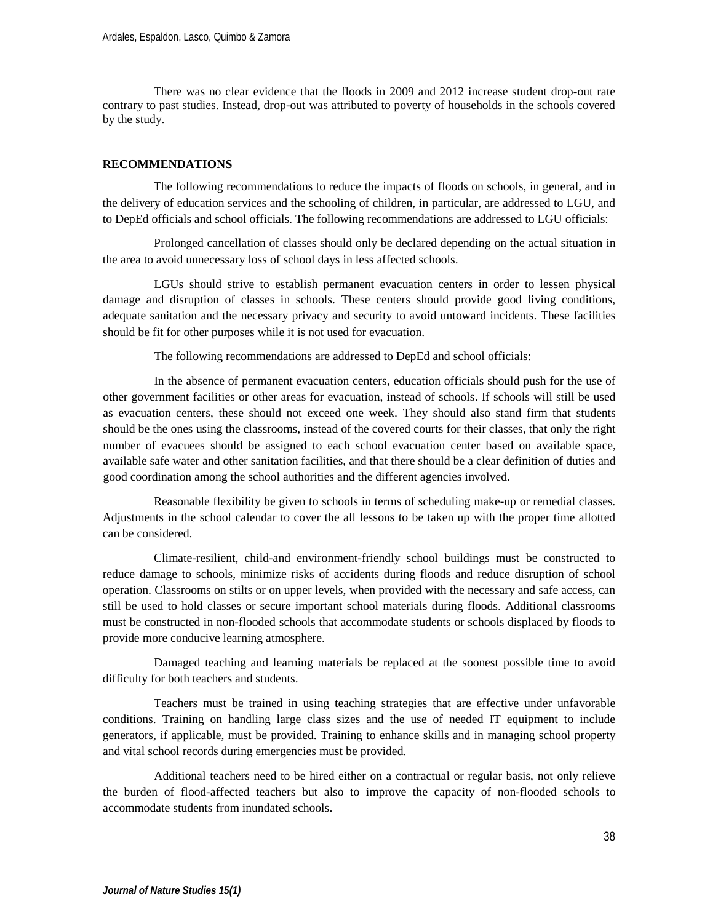There was no clear evidence that the floods in 2009 and 2012 increase student drop-out rate contrary to past studies. Instead, drop-out was attributed to poverty of households in the schools covered by the study.

# **RECOMMENDATIONS**

The following recommendations to reduce the impacts of floods on schools, in general, and in the delivery of education services and the schooling of children, in particular, are addressed to LGU, and to DepEd officials and school officials. The following recommendations are addressed to LGU officials:

Prolonged cancellation of classes should only be declared depending on the actual situation in the area to avoid unnecessary loss of school days in less affected schools.

LGUs should strive to establish permanent evacuation centers in order to lessen physical damage and disruption of classes in schools. These centers should provide good living conditions, adequate sanitation and the necessary privacy and security to avoid untoward incidents. These facilities should be fit for other purposes while it is not used for evacuation.

The following recommendations are addressed to DepEd and school officials:

In the absence of permanent evacuation centers, education officials should push for the use of other government facilities or other areas for evacuation, instead of schools. If schools will still be used as evacuation centers, these should not exceed one week. They should also stand firm that students should be the ones using the classrooms, instead of the covered courts for their classes, that only the right number of evacuees should be assigned to each school evacuation center based on available space, available safe water and other sanitation facilities, and that there should be a clear definition of duties and good coordination among the school authorities and the different agencies involved.

Reasonable flexibility be given to schools in terms of scheduling make-up or remedial classes. Adjustments in the school calendar to cover the all lessons to be taken up with the proper time allotted can be considered.

Climate-resilient, child-and environment-friendly school buildings must be constructed to reduce damage to schools, minimize risks of accidents during floods and reduce disruption of school operation. Classrooms on stilts or on upper levels, when provided with the necessary and safe access, can still be used to hold classes or secure important school materials during floods. Additional classrooms must be constructed in non-flooded schools that accommodate students or schools displaced by floods to provide more conducive learning atmosphere.

Damaged teaching and learning materials be replaced at the soonest possible time to avoid difficulty for both teachers and students.

Teachers must be trained in using teaching strategies that are effective under unfavorable conditions. Training on handling large class sizes and the use of needed IT equipment to include generators, if applicable, must be provided. Training to enhance skills and in managing school property and vital school records during emergencies must be provided.

Additional teachers need to be hired either on a contractual or regular basis, not only relieve the burden of flood-affected teachers but also to improve the capacity of non-flooded schools to accommodate students from inundated schools.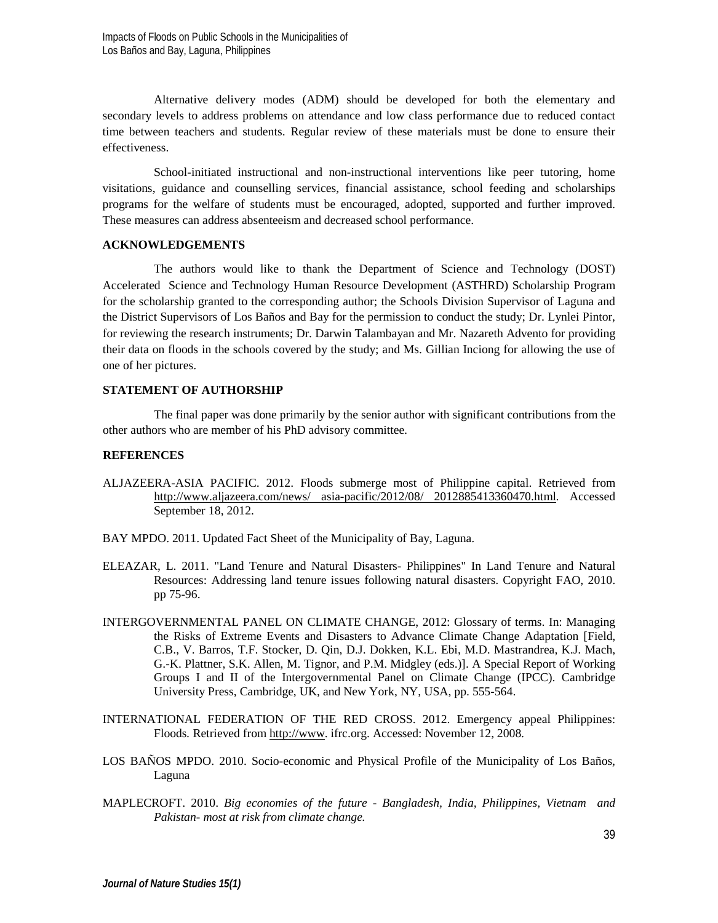Alternative delivery modes (ADM) should be developed for both the elementary and secondary levels to address problems on attendance and low class performance due to reduced contact time between teachers and students. Regular review of these materials must be done to ensure their effectiveness.

School-initiated instructional and non-instructional interventions like peer tutoring, home visitations, guidance and counselling services, financial assistance, school feeding and scholarships programs for the welfare of students must be encouraged, adopted, supported and further improved. These measures can address absenteeism and decreased school performance.

# **ACKNOWLEDGEMENTS**

The authors would like to thank the Department of Science and Technology (DOST) Accelerated Science and Technology Human Resource Development (ASTHRD) Scholarship Program for the scholarship granted to the corresponding author; the Schools Division Supervisor of Laguna and the District Supervisors of Los Baños and Bay for the permission to conduct the study; Dr. Lynlei Pintor, for reviewing the research instruments; Dr. Darwin Talambayan and Mr. Nazareth Advento for providing their data on floods in the schools covered by the study; and Ms. Gillian Inciong for allowing the use of one of her pictures.

### **STATEMENT OF AUTHORSHIP**

The final paper was done primarily by the senior author with significant contributions from the other authors who are member of his PhD advisory committee.

### **REFERENCES**

- ALJAZEERA-ASIA PACIFIC. 2012. Floods submerge most of Philippine capital. Retrieved from [http://www.aljazeera.com/news/](http://www.aljazeera.com/news/%25252520asia-pacific/2012/08/%252525202012885413360470.html) asia-pacific/2012/08/ 2012885413360470.html. Accessed September 18, 2012.
- BAY MPDO. 2011. Updated Fact Sheet of the Municipality of Bay, Laguna.
- ELEAZAR, L. 2011. "Land Tenure and Natural Disasters- Philippines" In Land Tenure and Natural Resources: Addressing land tenure issues following natural disasters. Copyright FAO, 2010. pp 75-96.
- INTERGOVERNMENTAL PANEL ON CLIMATE CHANGE, 2012: Glossary of terms. In: Managing the Risks of Extreme Events and Disasters to Advance Climate Change Adaptation [Field, C.B., V. Barros, T.F. Stocker, D. Qin, D.J. Dokken, K.L. Ebi, M.D. Mastrandrea, K.J. Mach, G.-K. Plattner, S.K. Allen, M. Tignor, and P.M. Midgley (eds.)]. A Special Report of Working Groups I and II of the Intergovernmental Panel on Climate Change (IPCC). Cambridge University Press, Cambridge, UK, and New York, NY, USA, pp. 555-564.
- INTERNATIONAL FEDERATION OF THE RED CROSS. 2012. Emergency appeal Philippines: Floods*.* Retrieved from [http://www.](http://www/) ifrc.org. Accessed: November 12, 2008.
- LOS BAÑOS MPDO. 2010. Socio-economic and Physical Profile of the Municipality of Los Baños, Laguna
- MAPLECROFT. 2010. *Big economies of the future - Bangladesh, India, Philippines, Vietnam and Pakistan- most at risk from climate change.*